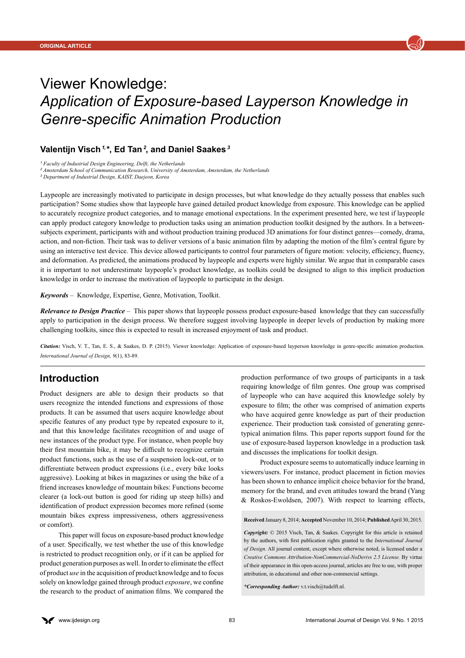

# Viewer Knowledge: *Application of Exposure-based Layperson Knowledge in Genre-specific Animation Production*

## **Valentijn Visch** *1,* **\*, Ed Tan***<sup>2</sup>***, and Daniel Saakes***<sup>3</sup>*

*1 Faculty of Industrial Design Engineering, Delft, the Netherlands*

<sup>2</sup> Amsterdam School of Communication Research, University of Amsterdam, Amsterdam, the Netherlands

*3 Department of Industrial Design, KAIST, Daejeon, Korea*

Laypeople are increasingly motivated to participate in design processes, but what knowledge do they actually possess that enables such participation? Some studies show that laypeople have gained detailed product knowledge from exposure. This knowledge can be applied to accurately recognize product categories, and to manage emotional expectations. In the experiment presented here, we test if laypeople can apply product category knowledge to production tasks using an animation production toolkit designed by the authors. In a betweensubjects experiment, participants with and without production training produced 3D animations for four distinct genres—comedy, drama, action, and non-fiction. Their task was to deliver versions of a basic animation film by adapting the motion of the film's central figure by using an interactive test device. This device allowed participants to control four parameters of figure motion: velocity, efficiency, fluency, and deformation. As predicted, the animations produced by laypeople and experts were highly similar. We argue that in comparable cases it is important to not underestimate laypeople's product knowledge, as toolkits could be designed to align to this implicit production knowledge in order to increase the motivation of laypeople to participate in the design.

*Keywords* – Knowledge, Expertise, Genre, Motivation, Toolkit.

*Relevance to Design Practice* – This paper shows that laypeople possess product exposure-based knowledge that they can successfully apply to participation in the design process. We therefore suggest involving laypeople in deeper levels of production by making more challenging toolkits, since this is expected to result in increased enjoyment of task and product.

*Citation:* Visch, V. T., Tan, E. S., & Saakes, D. P. (2015). Viewer knowledge: Application of exposure-based layperson knowledge in genre-specific animation production. *International Journal of Design, 9*(1), 83-89.

# **Introduction**

Product designers are able to design their products so that users recognize the intended functions and expressions of those products. It can be assumed that users acquire knowledge about specific features of any product type by repeated exposure to it, and that this knowledge facilitates recognition of and usage of new instances of the product type. For instance, when people buy their first mountain bike, it may be difficult to recognize certain product functions, such as the use of a suspension lock-out, or to differentiate between product expressions (i.e., every bike looks aggressive). Looking at bikes in magazines or using the bike of a friend increases knowledge of mountain bikes: Functions become clearer (a lock-out button is good for riding up steep hills) and identification of product expression becomes more refined (some mountain bikes express impressiveness, others aggressiveness or comfort).

This paper will focus on exposure-based product knowledge of a user. Specifically, we test whether the use of this knowledge is restricted to product recognition only, or if it can be applied for product generation purposes as well. In order to eliminate the effect of product *use* in the acquisition of product knowledge and to focus solely on knowledge gained through product *exposure*, we confine the research to the product of animation films. We compared the production performance of two groups of participants in a task requiring knowledge of film genres. One group was comprised of laypeople who can have acquired this knowledge solely by exposure to film; the other was comprised of animation experts who have acquired genre knowledge as part of their production experience. Their production task consisted of generating genretypical animation films. This paper reports support found for the use of exposure-based layperson knowledge in a production task and discusses the implications for toolkit design.

Product exposure seems to automatically induce learning in viewers/users. For instance, product placement in fiction movies has been shown to enhance implicit choice behavior for the brand, memory for the brand, and even attitudes toward the brand (Yang & Roskos-Ewoldsen, 2007). With respect to learning effects,

**Received** January 8, 2014; **Accepted** November 10, 2014; **Published** April 30, 2015.

*Copyright:* © 2015 Visch, Tan, & Saakes. Copyright for this article is retained by the authors, with first publication rights granted to the *International Journal of Design.* All journal content, except where otherwise noted, is licensed under a *Creative Commons Attribution-NonCommercial-NoDerivs 2.5 License.* By virtue of their appearance in this open-access journal, articles are free to use, with proper attribution, in educational and other non-commercial settings.

*\*Corresponding Author:* [v.t.visch@tudelft.nl](mailto:v.t.visch%40tudelft.nl?subject=).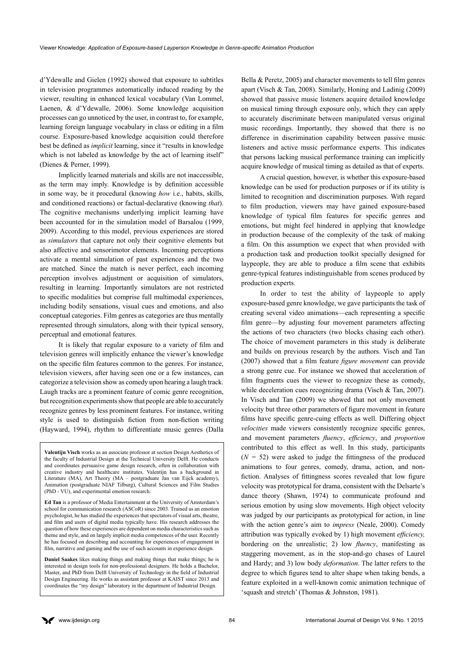d'Ydewalle and Gielen (1992) showed that exposure to subtitles in television programmes automatically induced reading by the viewer, resulting in enhanced lexical vocabulary (Van Lommel, Laenen, & d'Ydewalle, 2006). Some knowledge acquisition processes can go unnoticed by the user, in contrast to, for example, learning foreign language vocabulary in class or editing in a film course. Exposure-based knowledge acquisition could therefore best be defined as *implicit* learning, since it "results in knowledge which is not labeled as knowledge by the act of learning itself" (Dienes & Perner, 1999).

Implicitly learned materials and skills are not inaccessible, as the term may imply. Knowledge is by definition accessible in some way, be it procedural (knowing *how* i.e., habits, skills, and conditioned reactions) or factual-declarative (knowing *that*). The cognitive mechanisms underlying implicit learning have been accounted for in the simulation model of Barsalou (1999, 2009). According to this model, previous experiences are stored as *simulators* that capture not only their cognitive elements but also affective and sensorimotor elements. Incoming perceptions activate a mental simulation of past experiences and the two are matched. Since the match is never perfect, each incoming perception involves adjustment or acquisition of simulators, resulting in learning. Importantly simulators are not restricted to specific modalities but comprise full multimodal experiences, including bodily sensations, visual cues and emotions, and also conceptual categories. Film genres as categories are thus mentally represented through simulators, along with their typical sensory, perceptual and emotional features.

It is likely that regular exposure to a variety of film and television genres will implicitly enhance the viewer's knowledge on the specific film features common to the genres. For instance, television viewers, after having seen one or a few instances, can categorize a television show as comedy upon hearing a laugh track. Laugh tracks are a prominent feature of comic genre recognition, but recognition experiments show that people are able to accurately recognize genres by less prominent features. For instance, writing style is used to distinguish fiction from non-fiction writing (Hayward, 1994), rhythm to differentiate music genres (Dalla

**Valentijn Visch** works as an associate professor at section Design Aesthetics of the faculty of Industrial Design at the Technical University Delft. He conducts and coordinates persuasive game design research, often in collaboration with creative industry and healthcare institutes. Valentijn has a background in Literature (MA), Art Theory (MA – postgraduate Jan van Eijck academy), Animation (postgraduate NIAF Tilburg), Cultural Sciences and Film Studies (PhD - VU), and experimental emotion research.

**Ed Tan** is a professor of Media Entertainment at the University of Amsterdam's school for communication research (ASCoR) since 2003. Trained as an emotion psychologist, he has studied the experiences that spectators of visual arts, theatre, and film and users of digital media typically have. His research addresses the question of how these experiences are dependent on media characteristics such as theme and style, and on largely implicit media competences of the user. Recently he has focused on describing and accounting for experiences of engagement in film, narrative and gaming and the use of such accounts in experience design.

**Daniel Saakes** likes making things and making things that make things; he is interested in design tools for non-professional designers. He holds a Bachelor, Master, and PhD from Delft University of Technology in the field of Industrial Design Engineering. He works as assistant professor at KAIST since 2013 and coordinates the "my design" laboratory in the department of Industrial Design.

Bella & Peretz, 2005) and character movements to tell film genres apart (Visch & Tan, 2008). Similarly, Honing and Ladinig (2009) showed that passive music listeners acquire detailed knowledge on musical timing through exposure only, which they can apply to accurately discriminate between manipulated versus original music recordings. Importantly, they showed that there is no difference in discrimination capability between passive music listeners and active music performance experts. This indicates that persons lacking musical performance training can implicitly acquire knowledge of musical timing as detailed as that of experts.

A crucial question, however, is whether this exposure-based knowledge can be used for production purposes or if its utility is limited to recognition and discrimination purposes. With regard to film production, viewers may have gained exposure-based knowledge of typical film features for specific genres and emotions, but might feel hindered in applying that knowledge in production because of the complexity of the task of making a film. On this assumption we expect that when provided with a production task and production toolkit specially designed for laypeople, they are able to produce a film scene that exhibits genre-typical features indistinguishable from scenes produced by production experts.

In order to test the ability of laypeople to apply exposure-based genre knowledge, we gave participants the task of creating several video animations—each representing a specific film genre—by adjusting four movement parameters affecting the actions of two characters (two blocks chasing each other). The choice of movement parameters in this study is deliberate and builds on previous research by the authors. Visch and Tan (2007) showed that a film feature *figure movement* can provide a strong genre cue. For instance we showed that acceleration of film fragments cues the viewer to recognize these as comedy, while deceleration cues recognizing drama (Visch & Tan, 2007). In Visch and Tan (2009) we showed that not only movement velocity but three other parameters of figure movement in feature films have specific genre-cuing effects as well. Differing object *velocities* made viewers consistently recognize specific genres, and movement parameters *fluency*, *efficiency*, and *proportion*  contributed to this effect as well. In this study, participants  $(N = 52)$  were asked to judge the fittingness of the produced animations to four genres, comedy, drama, action, and nonfiction. Analyses of fittingness scores revealed that low figure velocity was prototypical for drama, consistent with the Delsarte's dance theory (Shawn, 1974) to communicate profound and serious emotion by using slow movements. High object velocity was judged by our participants as prototypical for action, in line with the action genre's aim to *impress* (Neale, 2000). Comedy attribution was typically evoked by 1) high movement *efficiency,*  bordering on the unrealistic; 2) low *fluency*, manifesting as staggering movement, as in the stop-and-go chases of Laurel and Hardy; and 3) low body *deformation*. The latter refers to the degree to which figures tend to alter shape when taking bends, a feature exploited in a well-known comic animation technique of 'squash and stretch' (Thomas & Johnston, 1981).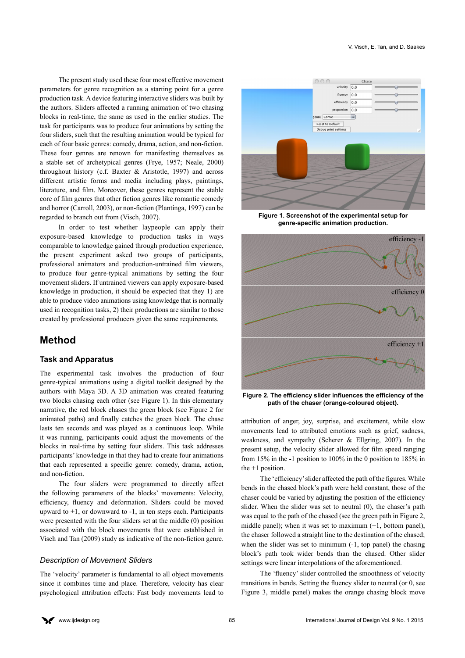The present study used these four most effective movement parameters for genre recognition as a starting point for a genre production task. A device featuring interactive sliders was built by the authors. Sliders affected a running animation of two chasing blocks in real-time, the same as used in the earlier studies. The task for participants was to produce four animations by setting the four sliders, such that the resulting animation would be typical for each of four basic genres: comedy, drama, action, and non-fiction. These four genres are renown for manifesting themselves as a stable set of archetypical genres (Frye, 1957; Neale, 2000) throughout history (c.f. Baxter & Aristotle, 1997) and across different artistic forms and media including plays, paintings, literature, and film. Moreover, these genres represent the stable core of film genres that other fiction genres like romantic comedy and horror (Carroll, 2003), or non-fiction (Plantinga, 1997) can be regarded to branch out from (Visch, 2007).

In order to test whether laypeople can apply their exposure-based knowledge to production tasks in ways comparable to knowledge gained through production experience, the present experiment asked two groups of participants, professional animators and production-untrained film viewers, to produce four genre-typical animations by setting the four movement sliders. If untrained viewers can apply exposure-based knowledge in production, it should be expected that they 1) are able to produce video animations using knowledge that is normally used in recognition tasks, 2) their productions are similar to those created by professional producers given the same requirements.

# **Method**

#### **Task and Apparatus**

The experimental task involves the production of four genre-typical animations using a digital toolkit designed by the authors with Maya 3D. A 3D animation was created featuring two blocks chasing each other (see Figure 1). In this elementary narrative, the red block chases the green block (see Figure 2 for animated paths) and finally catches the green block. The chase lasts ten seconds and was played as a continuous loop. While it was running, participants could adjust the movements of the blocks in real-time by setting four sliders. This task addresses participants' knowledge in that they had to create four animations that each represented a specific genre: comedy, drama, action, and non-fiction.

The four sliders were programmed to directly affect the following parameters of the blocks' movements: Velocity, efficiency, fluency and deformation. Sliders could be moved upward to  $+1$ , or downward to  $-1$ , in ten steps each. Participants were presented with the four sliders set at the middle (0) position associated with the block movements that were established in Visch and Tan (2009) study as indicative of the non-fiction genre.

#### *Description of Movement Sliders*

The 'velocity' parameter is fundamental to all object movements since it combines time and place. Therefore, velocity has clear psychological attribution effects: Fast body movements lead to



**Figure 1. Screenshot of the experimental setup for genre-specific animation production.** 



**Figure 2. The efficiency slider influences the efficiency of the path of the chaser (orange-coloured object).**

attribution of anger, joy, surprise, and excitement, while slow movements lead to attributed emotions such as grief, sadness, weakness, and sympathy (Scherer & Ellgring, 2007). In the present setup, the velocity slider allowed for film speed ranging from 15% in the -1 position to 100% in the 0 position to 185% in the +1 position.

The 'efficiency' slider affected the path of the figures. While bends in the chased block's path were held constant, those of the chaser could be varied by adjusting the position of the efficiency slider. When the slider was set to neutral (0), the chaser's path was equal to the path of the chased (see the green path in Figure 2, middle panel); when it was set to maximum (+1, bottom panel), the chaser followed a straight line to the destination of the chased; when the slider was set to minimum  $(-1, \text{ top panel})$  the chasing block's path took wider bends than the chased. Other slider settings were linear interpolations of the aforementioned.

The 'fluency' slider controlled the smoothness of velocity transitions in bends. Setting the fluency slider to neutral (or 0, see Figure 3, middle panel) makes the orange chasing block move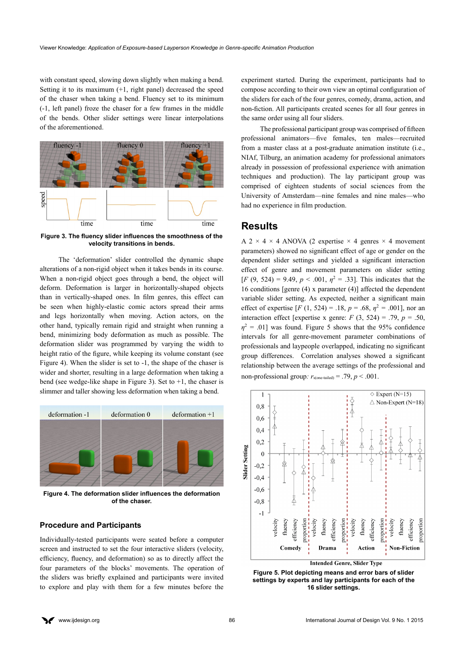with constant speed, slowing down slightly when making a bend. Setting it to its maximum (+1, right panel) decreased the speed of the chaser when taking a bend. Fluency set to its minimum (-1, left panel) froze the chaser for a few frames in the middle of the bends. Other slider settings were linear interpolations of the aforementioned.



**Figure 3. The fluency slider influences the smoothness of the velocity transitions in bends.**

The 'deformation' slider controlled the dynamic shape alterations of a non-rigid object when it takes bends in its course. When a non-rigid object goes through a bend, the object will deform. Deformation is larger in horizontally-shaped objects than in vertically-shaped ones. In film genres, this effect can be seen when highly-elastic comic actors spread their arms and legs horizontally when moving. Action actors, on the other hand, typically remain rigid and straight when running a bend, minimizing body deformation as much as possible. The deformation slider was programmed by varying the width to height ratio of the figure, while keeping its volume constant (see Figure 4). When the slider is set to -1, the shape of the chaser is wider and shorter, resulting in a large deformation when taking a bend (see wedge-like shape in Figure 3). Set to +1, the chaser is slimmer and taller showing less deformation when taking a bend.



**Figure 4. The deformation slider influences the deformation of the chaser.**

#### **Procedure and Participants**

Individually-tested participants were seated before a computer screen and instructed to set the four interactive sliders (velocity, efficiency, fluency, and deformation) so as to directly affect the four parameters of the blocks' movements. The operation of the sliders was briefly explained and participants were invited to explore and play with them for a few minutes before the

experiment started. During the experiment, participants had to compose according to their own view an optimal configuration of the sliders for each of the four genres, comedy, drama, action, and non-fiction. All participants created scenes for all four genres in the same order using all four sliders.

The professional participant group was comprised of fifteen professional animators—five females, ten males—recruited from a master class at a post-graduate animation institute (i.e., NIAf, Tilburg, an animation academy for professional animators already in possession of professional experience with animation techniques and production). The lay participant group was comprised of eighteen students of social sciences from the University of Amsterdam—nine females and nine males—who had no experience in film production.

## **Results**

A 2  $\times$  4  $\times$  4 ANOVA (2 expertise  $\times$  4 genres  $\times$  4 movement parameters) showed no significant effect of age or gender on the dependent slider settings and yielded a significant interaction effect of genre and movement parameters on slider setting  $[F (9, 524) = 9.49, p < .001, \eta^2 = .33]$ . This indicates that the 16 conditions [genre (4) x parameter (4)] affected the dependent variable slider setting. As expected, neither a significant main effect of expertise  $[F (1, 524) = .18, p = .68, \eta^2 = .001]$ , nor an interaction effect [expertise x genre:  $F(3, 524) = .79$ ,  $p = .50$ ,  $\eta^2$  = .01] was found. Figure 5 shows that the 95% confidence intervals for all genre-movement parameter combinations of professionals and laypeople overlapped, indicating no significant group differences. Correlation analyses showed a significant relationship between the average settings of the professional and non-professional group:  $r_{\text{score-tailed}} = .79$ ,  $p < .001$ .



**Figure 5. Plot depicting means and error bars of slider settings by experts and lay participants for each of the 16 slider settings.**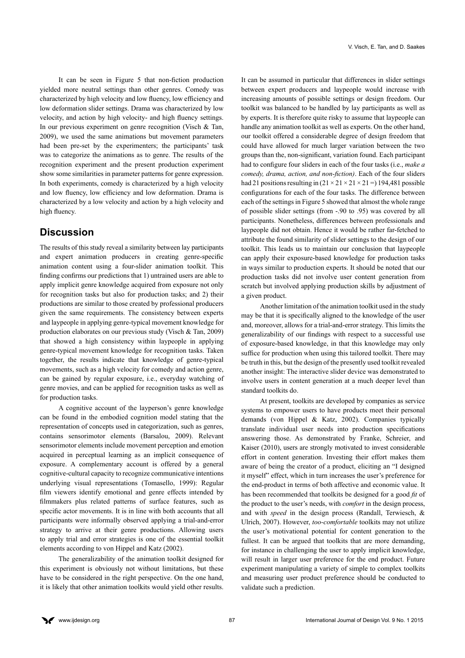It can be seen in Figure 5 that non-fiction production yielded more neutral settings than other genres. Comedy was characterized by high velocity and low fluency, low efficiency and low deformation slider settings. Drama was characterized by low velocity, and action by high velocity- and high fluency settings. In our previous experiment on genre recognition (Visch  $&$  Tan, 2009), we used the same animations but movement parameters had been pre-set by the experimenters; the participants' task was to categorize the animations as to genre. The results of the recognition experiment and the present production experiment show some similarities in parameter patterns for genre expression. In both experiments, comedy is characterized by a high velocity and low fluency, low efficiency and low deformation. Drama is characterized by a low velocity and action by a high velocity and high fluency.

# **Discussion**

The results of this study reveal a similarity between lay participants and expert animation producers in creating genre-specific animation content using a four-slider animation toolkit. This finding confirms our predictions that 1) untrained users are able to apply implicit genre knowledge acquired from exposure not only for recognition tasks but also for production tasks; and 2) their productions are similar to those created by professional producers given the same requirements. The consistency between experts and laypeople in applying genre-typical movement knowledge for production elaborates on our previous study (Visch & Tan, 2009) that showed a high consistency within laypeople in applying genre-typical movement knowledge for recognition tasks. Taken together, the results indicate that knowledge of genre-typical movements, such as a high velocity for comedy and action genre, can be gained by regular exposure, i.e., everyday watching of genre movies, and can be applied for recognition tasks as well as for production tasks.

A cognitive account of the layperson's genre knowledge can be found in the embodied cognition model stating that the representation of concepts used in categorization, such as genres, contains sensorimotor elements (Barsalou, 2009). Relevant sensorimotor elements include movement perception and emotion acquired in perceptual learning as an implicit consequence of exposure. A complementary account is offered by a general cognitive-cultural capacity to recognize communicative intentions underlying visual representations (Tomasello, 1999): Regular film viewers identify emotional and genre effects intended by filmmakers plus related patterns of surface features, such as specific actor movements. It is in line with both accounts that all participants were informally observed applying a trial-and-error strategy to arrive at their genre productions. Allowing users to apply trial and error strategies is one of the essential toolkit elements according to von Hippel and Katz (2002).

The generalizability of the animation toolkit designed for this experiment is obviously not without limitations, but these have to be considered in the right perspective. On the one hand, it is likely that other animation toolkits would yield other results.

It can be assumed in particular that differences in slider settings between expert producers and laypeople would increase with increasing amounts of possible settings or design freedom. Our toolkit was balanced to be handled by lay participants as well as by experts. It is therefore quite risky to assume that laypeople can handle any animation toolkit as well as experts. On the other hand, our toolkit offered a considerable degree of design freedom that could have allowed for much larger variation between the two groups than the, non-significant, variation found. Each participant had to configure four sliders in each of the four tasks (i.e., *make a comedy, drama, action, and non-fiction)*. Each of the four sliders had 21 positions resulting in  $(21 \times 21 \times 21 \times 21 = 194,481$  possible configurations for each of the four tasks. The difference between each of the settings in Figure 5 showed that almost the whole range of possible slider settings (from -.90 to .95) was covered by all participants. Nonetheless, differences between professionals and laypeople did not obtain. Hence it would be rather far-fetched to attribute the found similarity of slider settings to the design of our toolkit. This leads us to maintain our conclusion that laypeople can apply their exposure-based knowledge for production tasks in ways similar to production experts. It should be noted that our production tasks did not involve user content generation from scratch but involved applying production skills by adjustment of a given product.

Another limitation of the animation toolkit used in the study may be that it is specifically aligned to the knowledge of the user and, moreover, allows for a trial-and-error strategy. This limits the generalizability of our findings with respect to a successful use of exposure-based knowledge, in that this knowledge may only suffice for production when using this tailored toolkit. There may be truth in this, but the design of the presently used toolkit revealed another insight: The interactive slider device was demonstrated to involve users in content generation at a much deeper level than standard toolkits do.

At present, toolkits are developed by companies as service systems to empower users to have products meet their personal demands (von Hippel & Katz, 2002). Companies typically translate individual user needs into production specifications answering those. As demonstrated by Franke, Schreier, and Kaiser (2010), users are strongly motivated to invest considerable effort in content generation. Investing their effort makes them aware of being the creator of a product, eliciting an "I designed it myself" effect, which in turn increases the user's preference for the end-product in terms of both affective and economic value. It has been recommended that toolkits be designed for a good *fit* of the product to the user's needs, with *comfort* in the design process, and with *speed* in the design process (Randall, Terwiesch, & Ulrich, 2007). However, *too-comfortable* toolkits may not utilize the user's motivational potential for content generation to the fullest. It can be argued that toolkits that are more demanding, for instance in challenging the user to apply implicit knowledge, will result in larger user preference for the end product. Future experiment manipulating a variety of simple to complex toolkits and measuring user product preference should be conducted to validate such a prediction.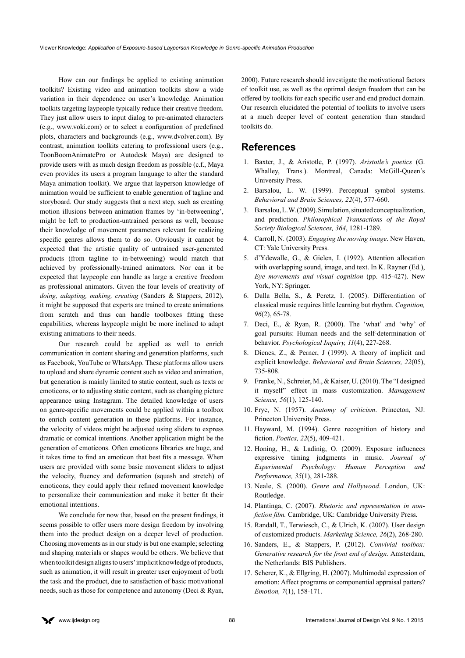How can our findings be applied to existing animation toolkits? Existing video and animation toolkits show a wide variation in their dependence on user's knowledge. Animation toolkits targeting laypeople typically reduce their creative freedom. They just allow users to input dialog to pre-animated characters (e.g., [www.voki.com\)](http://www.voki.com) or to select a configuration of predefined plots, characters and backgrounds (e.g., [www.dvolver.com](http://www.dvolver.com)). By contrast, animation toolkits catering to professional users (e.g., ToonBoomAnimatePro or Autodesk Maya) are designed to provide users with as much design freedom as possible (c.f., Maya even provides its users a program language to alter the standard Maya animation toolkit). We argue that layperson knowledge of animation would be sufficient to enable generation of tagline and storyboard. Our study suggests that a next step, such as creating motion illusions between animation frames by 'in-betweening', might be left to production-untrained persons as well, because their knowledge of movement parameters relevant for realizing specific genres allows them to do so. Obviously it cannot be expected that the artistic quality of untrained user-generated products (from tagline to in-betweening) would match that achieved by professionally-trained animators. Nor can it be expected that laypeople can handle as large a creative freedom as professional animators. Given the four levels of creativity of *doing, adapting, making, creating* (Sanders & Stappers, 2012), it might be supposed that experts are trained to create animations from scratch and thus can handle toolboxes fitting these capabilities, whereas laypeople might be more inclined to adapt existing animations to their needs.

Our research could be applied as well to enrich communication in content sharing and generation platforms, such as Facebook, YouTube or WhatsApp. These platforms allow users to upload and share dynamic content such as video and animation, but generation is mainly limited to static content, such as texts or emoticons, or to adjusting static content, such as changing picture appearance using Instagram. The detailed knowledge of users on genre-specific movements could be applied within a toolbox to enrich content generation in these platforms. For instance, the velocity of videos might be adjusted using sliders to express dramatic or comical intentions. Another application might be the generation of emoticons. Often emoticons libraries are huge, and it takes time to find an emoticon that best fits a message. When users are provided with some basic movement sliders to adjust the velocity, fluency and deformation (squash and stretch) of emoticons, they could apply their refined movement knowledge to personalize their communication and make it better fit their emotional intentions.

We conclude for now that, based on the present findings, it seems possible to offer users more design freedom by involving them into the product design on a deeper level of production. Choosing movements as in our study is but one example; selecting and shaping materials or shapes would be others. We believe that when toolkit design aligns to users' implicit knowledge of products, such as animation, it will result in greater user enjoyment of both the task and the product, due to satisfaction of basic motivational needs, such as those for competence and autonomy (Deci & Ryan,

2000). Future research should investigate the motivational factors of toolkit use, as well as the optimal design freedom that can be offered by toolkits for each specific user and end product domain. Our research elucidated the potential of toolkits to involve users at a much deeper level of content generation than standard toolkits do.

## **References**

- 1. Baxter, J., & Aristotle, P. (1997). *Aristotle's poetics* (G. Whalley, Trans.). Montreal, Canada: McGill-Queen's University Press.
- 2. Barsalou, L. W. (1999). Perceptual symbol systems. *Behavioral and Brain Sciences, 22*(4), 577-660.
- 3. Barsalou, L. W. (2009). Simulation, situated conceptualization, and prediction. *Philosophical Transactions of the Royal Society Biological Sciences, 364*, 1281-1289.
- 4. Carroll, N. (2003). *Engaging the moving image*. New Haven, CT: Yale University Press.
- 5. d'Ydewalle, G., & Gielen, I. (1992). Attention allocation with overlapping sound, image, and text. In K. Rayner (Ed.), *Eye movements and visual cognition* (pp. 415-427). New York, NY: Springer.
- 6. Dalla Bella, S., & Peretz, I. (2005). Differentiation of classical music requires little learning but rhythm. *Cognition, 96*(2), 65-78.
- 7. Deci, E., & Ryan, R. (2000). The 'what' and 'why' of goal pursuits: Human needs and the self-determination of behavior. *Psychological Inquiry, 11*(4), 227-268.
- 8. Dienes, Z., & Perner, J (1999). A theory of implicit and explicit knowledge. *Behavioral and Brain Sciences, 22*(05), 735-808.
- 9. Franke, N., Schreier, M., & Kaiser, U. (2010). The "I designed it myself" effect in mass customization. *Management Science, 56*(1), 125-140.
- 10. Frye, N. (1957). *Anatomy of criticism*. Princeton, NJ: Princeton University Press.
- 11. Hayward, M. (1994). Genre recognition of history and fiction. *Poetics, 22*(5), 409-421.
- 12. Honing, H., & Ladinig, O. (2009). Exposure influences expressive timing judgments in music. *Journal of Experimental Psychology: Human Perception and Performance, 35*(1), 281-288.
- 13. Neale, S. (2000). *Genre and Hollywood*. London, UK: Routledge.
- 14. Plantinga, C. (2007). *Rhetoric and representation in nonfiction film.* Cambridge, UK: Cambridge University Press.
- 15. Randall, T., Terwiesch, C., & Ulrich, K. (2007). User design of customized products. *Marketing Science, 26*(2), 268-280.
- 16. Sanders, E., & Stappers, P. (2012). *Convivial toolbox: Generative research for the front end of design.* Amsterdam, the Netherlands: BIS Publishers.
- 17. Scherer, K., & Ellgring, H. (2007). Multimodal expression of emotion: Affect programs or componential appraisal patters? *Emotion, 7*(1), 158-171.